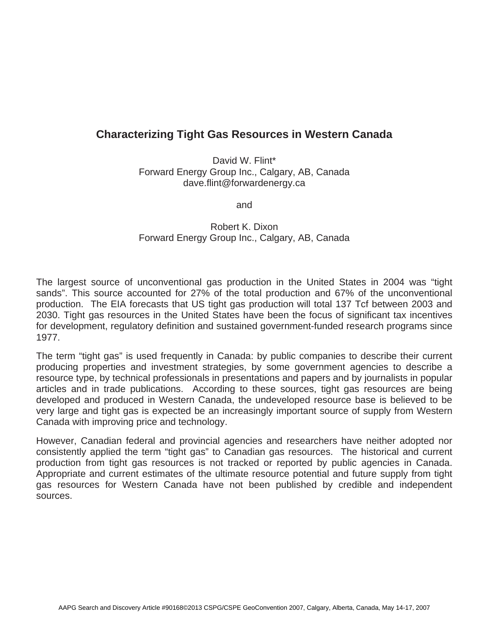## **Characterizing Tight Gas Resources in Western Canada**

David W. Flint\* Forward Energy Group Inc., Calgary, AB, Canada dave.flint@forwardenergy.ca

and

## Robert K. Dixon Forward Energy Group Inc., Calgary, AB, Canada

The largest source of unconventional gas production in the United States in 2004 was "tight sands". This source accounted for 27% of the total production and 67% of the unconventional production. The EIA forecasts that US tight gas production will total 137 Tcf between 2003 and 2030. Tight gas resources in the United States have been the focus of significant tax incentives for development, regulatory definition and sustained government-funded research programs since 1977.

The term "tight gas" is used frequently in Canada: by public companies to describe their current producing properties and investment strategies, by some government agencies to describe a resource type, by technical professionals in presentations and papers and by journalists in popular articles and in trade publications. According to these sources, tight gas resources are being developed and produced in Western Canada, the undeveloped resource base is believed to be very large and tight gas is expected be an increasingly important source of supply from Western Canada with improving price and technology.

However, Canadian federal and provincial agencies and researchers have neither adopted nor consistently applied the term "tight gas" to Canadian gas resources. The historical and current production from tight gas resources is not tracked or reported by public agencies in Canada. Appropriate and current estimates of the ultimate resource potential and future supply from tight gas resources for Western Canada have not been published by credible and independent sources.